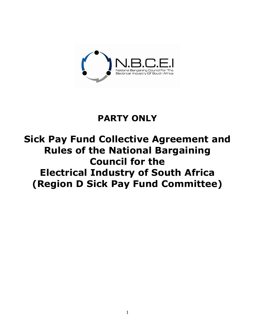

## **PARTY ONLY**

# **Sick Pay Fund Collective Agreement and Rules of the National Bargaining Council for the Electrical Industry of South Africa (Region D Sick Pay Fund Committee)**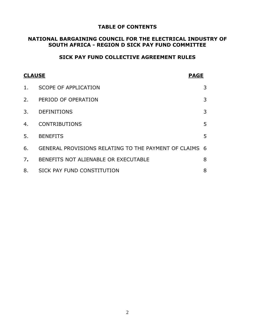### **TABLE OF CONTENTS**

## **NATIONAL BARGAINING COUNCIL FOR THE ELECTRICAL INDUSTRY OF SOUTH AFRICA - REGION D SICK PAY FUND COMMITTEE**

## **SICK PAY FUND COLLECTIVE AGREEMENT RULES**

| <b>CLAUSE</b> |                                                        | <b>PAGE</b> |
|---------------|--------------------------------------------------------|-------------|
| 1.            | <b>SCOPE OF APPLICATION</b>                            | 3           |
| 2.            | PERIOD OF OPERATION                                    | 3           |
| 3.            | <b>DEFINITIONS</b>                                     | 3           |
| 4.            | <b>CONTRIBUTIONS</b>                                   | 5           |
| 5.            | <b>BENEFITS</b>                                        | 5           |
| 6.            | GENERAL PROVISIONS RELATING TO THE PAYMENT OF CLAIMS 6 |             |
| 7.            | BENEFITS NOT ALIENABLE OR EXECUTABLE                   | 8           |
| 8.            | SICK PAY FUND CONSTITUTION                             | 8           |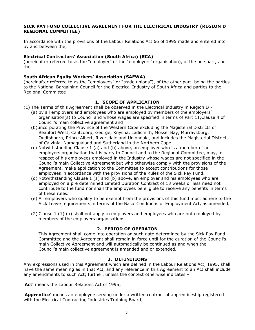#### **SICK PAY FUND COLLECTIVE AGREEMENT FOR THE ELECTRICAL INDUSTRY (REGION D REGIONAL COMMITTEE)**

In accordance with the provisions of the Labour Relations Act 66 of 1995 made and entered into by and between the;

#### **Electrical Contractors' Association (South Africa) (ECA)**

(hereinafter referred to as the "employer" or the "employers" organisation), of the one part, and the

#### **South African Equity Workers' Association (SAEWA)**

(hereinafter referred to as the "employees" or "trade unions"), of the other part, being the parties to the National Bargaining Council for the Electrical Industry of South Africa and parties to the Regional Committee

#### **1. SCOPE OF APPLICATION**

(1) The Terms of this Agreement shall be observed in the Electrical Industry in Region D -

- (a) by all employers and employees who are employed by members of the employers" organisation(s) to Council and whose wages are specified in terms of Part 11,Clause 4 of Council"s main collective agreement and
- (b).incorporating the Province of the Western Cape excluding the Magisterial Districts of Beaufort West, Calitzdorp, George, Knysna, Ladismith, Mossel Bay, Murraysburg, Oudtshoorn, Prince Albert, Riversdale and Uniondale, and includes the Magisterial Districts of Calvinia, Namaqualand and Sutherland in the Northern Cape.
- (c) Notwithstanding Clause 1 (a) and (b) above, an employer who is a member of an employers organisation that is party to Council and to the Regional Committee, may, in respect of his employees employed in the Industry whose wages are not specified in the Council"s main Collective Agreement but who otherwise comply with the provisions of the Agreement, make application to the Committee to accept contributions for those employees in accordance with the provisions of the Rules of the Sick Pay Fund.
- (d) Notwithstanding Clause 1 (a) and (b) above, an employer and his employees who are employed on a pre determined Limited Duration Contract of 13 weeks or less need not contribute to the fund nor shall the employees be eligible to receive any benefits in terms of these rules.
- (e) All employers who qualify to be exempt from the provisions of this fund must adhere to the Sick Leave requirements in terms of the Basic Conditions of Employment Act, as amended.
- (2) Clause 1 (1) (a) shall not apply to employers and employees who are not employed by members of the employers organisations.

#### **2. PERIOD OF OPERATON**

This Agreement shall come into operation on such date determined by the Sick Pay Fund Committee and the Agreement shall remain in force until for the duration of the Council"s main Collective Agreement and will automatically be continued as and when the Council"s main collective agreement is amended and or extended.

#### **3. DEFINITIONS**

Any expressions used in this Agreement which are defined in the Labour Relations Act, 1995, shall have the same meaning as in that Act, and any reference in this Agreement to an Act shall include any amendments to such Act; further, unless the context otherwise indicates -

"**Act'** means the Labour Relations Act of 1995;

"**Apprentice'** means an employee serving under a written contract of apprenticeship registered with the Electrical Contracting Industries Training Board;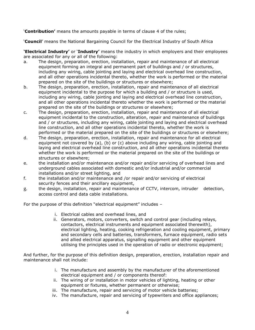"**Contribution'** means the amounts payable in terms of clause 4 of the rules;

"**Council**" means the National Bargaining Council for the Electrical Industry of South Africa

**'Electrical Industry'** or "**Industry'** means the industry in which employers and their employees are associated for any or all of the following:

- a. The design, preparation, erection, installation, repair and maintenance of all electrical equipment forming an integral and permanent part of buildings and / or structures, including any wiring, cable jointing and laying and electrical overhead line construction, and all other operations incidental thereto, whether the work is performed or the material prepared on the site of the buildings or structures or elsewhere;
- b. The design, preparation, erection, installation, repair and maintenance of all electrical equipment incidental to the purpose for which a building and / or structure is used, including any wiring, cable jointing and laying and electrical overhead line construction, and all other operations incidental thereto whether the work is performed or the material prepared on the site of the buildings or structures or elsewhere;
- c. The design, preparation, erection, installation, repair and maintenance of all electrical equipment incidental to the construction, alteration, repair and maintenance of buildings and / or structures, including any wiring, cable jointing and laying and electrical overhead line construction, and all other operations incidental thereto, whether the work is performed or the material prepared on the site of the buildings or structures or elsewhere;
- d. The design, preparation, erection, installation, repair and maintenance for all electrical equipment not covered by (a), (b) or (c) above including any wiring, cable jointing and laying and electrical overhead line construction, and all other operations incidental thereto whether the work is performed or the material prepared on the site of the buildings or structures or elsewhere;
- e. the installation and/or maintenance and/or repair and/or servicing of overhead lines and underground cables associated with domestic and/or industrial and/or commercial installations and/or street lighting, and
- f. the installation and/or maintenance and /or repair and/or servicing of electrical security fences and their ancillary equipment,
- g. the design, installation, repair and maintenance of CCTV, intercom, intruder detection, access control and data cable installations.

For the purpose of this definition "electrical equipment" includes –

- i. Electrical cables and overhead lines, and
- ii. Generators, motors, converters, switch and control gear (including relays, contactors, electrical instruments and equipment associated therewith), electrical lighting, heating, cooking refrigeration and cooling equipment, primary and secondary cells and batteries, transformers, furnace equipment, radio sets and allied electrical apparatus, signalling equipment and other equipment utilising the principles used in the operation of radio or electronic equipment;

And further, for the purpose of this definition design, preparation, erection, installation repair and maintenance shall not include:

- i. The manufacture and assembly by the manufacturer of the aforementioned electrical equipment and / or components thereof:
- ii. The wiring of or installation in motor vehicles of lighting, heating or other equipment or fixtures, whether permanent or otherwise;
- iii. The manufacture, repair and servicing of motor vehicle batteries;
- iv. The manufacture, repair and servicing of typewriters and office appliances;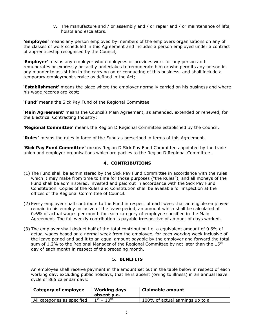v. The manufacture and / or assembly and / or repair and / or maintenance of lifts, hoists and escalators.

**'employee'** means any person employed by members of the employers organisations on any of the classes of work scheduled in this Agreement and includes a person employed under a contract of apprenticeship recognised by the Council;

"**Employer'** means any employer who employees or provides work for any person and remunerates or expressly or tacitly undertakes to remunerate him or who permits any person in any manner to assist him in the carrying on or conducting of this business, and shall include a temporary employment service as defined in the Act;

"**Establishment'** means the place where the employer normally carried on his business and where his wage records are kept;

"**Fund'** means the Sick Pay Fund of the Regional Committee

**Main Agreement'** means the Council's Main Agreement, as amended, extended or renewed, for the Electrical Contracting Industry;

**'Regional Committee'** means the Region D Regional Committee established by the Council.

"**Rules'** means the rules in force of the Fund as prescribed in terms of this Agreement.

**'Sick Pay Fund Committee'** means Region D Sick Pay Fund Committee appointed by the trade union and employer organisations which are parties to the Region D Regional Committee.

#### **4. CONTRIBUTIONS**

- (1) The Fund shall be administered by the Sick Pay Fund Committee in accordance with the rules which it may make from time to time for those purposes ("the Rules"), and all moneys of the Fund shall be administered, invested and paid out in accordance with the Sick Pay Fund Constitution. Copies of the Rules and Constitution shall be available for inspection at the offices of the Regional Committee of Council.
- (2) Every employer shall contribute to the Fund in respect of each week that an eligible employee remain in his employ inclusive of the leave period, an amount which shall be calculated at 0.6% of actual wages per month for each category of employee specified in the Main Agreement. The full weekly contribution is payable irrespective of amount of days worked.
- (3) The employer shall deduct half of the total contribution i.e. a equivalent amount of 0.6% of actual wages based on a normal week from the employee, for each working week inclusive of the leave period and add it to an equal amount payable by the employer and forward the total sum of 1.2% to the Regional Manager of the Regional Committee by not later than the  $15<sup>th</sup>$ day of each month in respect of the preceding month.

#### **5. BENEFITS**

An employee shall receive payment in the amount set out in the table below in respect of each working day, excluding public holidays, that he is absent (owing to illness) in an annual leave cycle of 365 calendar days:

| Category of employee        | <b>Working days</b><br>absent p.a. | Claimable amount                |
|-----------------------------|------------------------------------|---------------------------------|
| All categories as specified | $1^{st} - 10^{th}$                 | 100% of actual earnings up to a |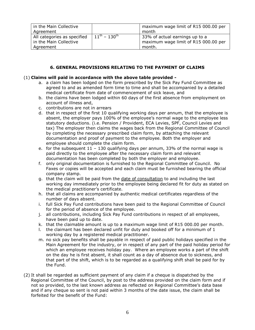| in the Main Collective<br>Agreement                                |                                    | maximum wage limit of R15 000.00 per<br>month                                    |
|--------------------------------------------------------------------|------------------------------------|----------------------------------------------------------------------------------|
| All categories as specified<br>in the Main Collective<br>Agreement | $11^{\text{th}} - 130^{\text{th}}$ | 33% of actual earnings up to a<br>maximum wage limit of R15 000.00 per<br>month. |

#### **6. GENERAL PROVISIONS RELATING TO THE PAYMENT OF CLAIMS**

#### (1) **Claims will paid in accordance with the above table provided -**

- a. a claim has been lodged on the form prescribed by the Sick Pay Fund Committee as agreed to and as amended form time to time and shall be accompanied by a detailed medical certificate from date of commencement of sick leave, and
- b. the claims have been lodged within 60 days of the first absence from employment on account of illness and,
- c. contributions are not in arrears
- d. that in respect of the first 10 qualifying working days per annum, that the employee is absent, the employer pays 100% of the employee"s normal wage to the employee less statutory deductions. (i.e. Pension / Provident, ECA Levies, SPF, Council Levies and tax) The employer then claims the wages back from the Regional Committee of Council by completing the necessary prescribed claim form, by attaching the relevant documentation and proof of payment to the employee. Both the employer and employee should complete the claim form.
- e. for the subsequent  $11 130$  qualifying days per annum, 33% of the normal wage is paid directly to the employee after the necessary claim form and relevant documentation has been completed by both the employer and employee.
- f. only original documentation is furnished to the Regional Committee of Council. No Faxes or copies will be accepted and each claim must be furnished bearing the official company stamp.
- g. that the claim will be paid from the date of consultation to and including the last working day immediately prior to the employee being declared fit for duty as stated on the medical practitioner"s certificate.
- h. that all claims are accompanied by authentic medical certificates regardless of the number of days absent.
- i. full Sick Pay Fund contributions have been paid to the Regional Committee of Council for the period of absence of the employee.
- j. all contributions, including Sick Pay Fund contributions in respect of all employees, have been paid up to date.
- k. that the claimable amount is up to a maximum wage limit of R15 000.00 per month.
- l. the claimant has been declared unfit for duty and booked off for a minimum of 1 working day by a registered medical practitioner.
- m. no sick pay benefits shall be payable in respect of paid public holidays specified in the Main Agreement for the industry, or in respect of any part of the paid holiday period for which an employee receives holiday pay. Where an employee works a part of the shift on the day he is first absent, it shall count as a day of absence due to sickness, and that part of the shift, which is to be regarded as a qualifying shift shall be paid for by the Fund.
- (2) It shall be regarded as sufficient payment of any claim if a cheque is dispatched by the Regional Committee of the Council, by post to the address provided on the claim form and if not so provided, to the last known address as reflected on Regional Committee"s data base and if any cheque so sent is not paid within 3 months of the date issue, the claim shall be forfeited for the benefit of the Fund: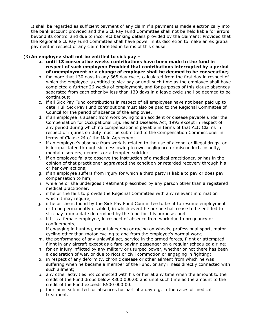It shall be regarded as sufficient payment of any claim if a payment is made electronically into the bank account provided and the Sick Pay Fund Committee shall not be held liable for errors beyond its control and due to incorrect banking details provided by the claimant: Provided that the Regional Sick Pay Fund Committee shall have power in its discretion to make an ex gratia payment in respect of any claim forfeited in terms of this clause.

#### (3) **An employee shall not be entitled to sick pay –**

- **a. until 13 consecutive weeks contributions have been made to the fund in respect of such employee: Provided that contributions interrupted by a period of unemployment or a change of employer shall be deemed to be consecutive;**
- b. for more that 130 days in any 365 day cycle, calculated from the first day in respect of which the employee is entitled to sick pay or until such time as the employee shall have completed a further 26 weeks of employment, and for purposes of this clause absences separated from each other by less than 130 days in a leave cycle shall be deemed to be continuous;
- c. if all Sick Pay Fund contributions in respect of all employees have not been paid up to date. Full Sick Pay Fund contributions must also be paid to the Regional Committee of Council for the period of absence of the employee.
- d. if an employee is absent from work owing to an accident or disease payable under the Compensation for Occupational Injuries and Diseases Act, 1993 except in respect of any period during which no compensation is payable in terms of that Act; Claims in respect of injuries on duty must be submitted to the Compensation Commissioner in terms of Clause 24 of the Main Agreement.
- e. if an employee"s absence from work is related to the use of alcohol or illegal drugs, or is incapacitated through sickness owing to own negligence or misconduct, insanity, mental disorders, neurosis or attempted suicide;
- f. if an employee fails to observe the instruction of a medical practitioner, or has in the opinion of that practitioner aggravated the condition or retarded recovery through his or her own actions;
- g. if an employee suffers from injury for which a third party is liable to pay or does pay compensation to him;
- h. while he or she undergoes treatment prescribed by any person other than a registered medical practitioner.
- i. if he or she fails to provide the Regional Committee with any relevant information which it may require;
- j. if he or she is found by the Sick Pay Fund Committee to be fit to resume employment or to be permanently disabled, in which event he or she shall cease to be entitled to sick pay from a date determined by the fund for this purpose; and
- k. if it is a female employee, in respect of absence from work due to pregnancy or confinements;
- l. if engaging in hunting, mountaineering or racing on wheels, professional sport, motorcycling other than motor-cycling to and from the employee's normal work;
- m. the performance of any unlawful act, service in the armed forces, flight or attempted flight in any aircraft except as a fare-paying passenger on a regular scheduled airline;
- n. for an injury inflicted by any military or usurped power, whether or not there has been a declaration of war, or due to riots or civil commotion or engaging in fighting;
- o. in respect of any deformity, chronic disease or other ailment from which he was suffering when he became a member of the Fund, or any illness directly connected with such ailment;
- p. any other activities not connected with his or her at any time when the amount to the credit of the Fund drops below R300 000.00 and until such time as the amount to the credit of the Fund exceeds R500 000.00.
- q. for claims submitted for absences for part of a day e.g. in the cases of medical treatment.